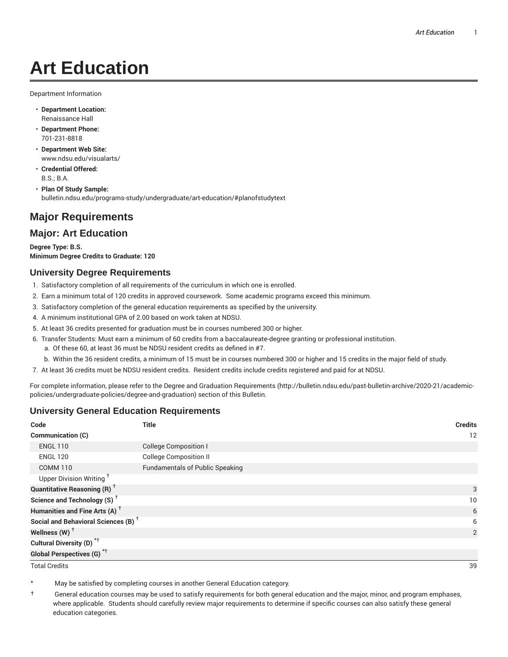# **Art Education**

Department Information

- **Department Location:** Renaissance Hall
- **Department Phone:** 701-231-8818
- **Department Web Site:** www.ndsu.edu/visualarts/
- **Credential Offered:** B.S.; B.A.

• **Plan Of Study Sample:** bulletin.ndsu.edu/programs-study/undergraduate/art-education/#planofstudytext

# **Major Requirements**

## **Major: Art Education**

**Degree Type: B.S. Minimum Degree Credits to Graduate: 120**

#### **University Degree Requirements**

- 1. Satisfactory completion of all requirements of the curriculum in which one is enrolled.
- 2. Earn a minimum total of 120 credits in approved coursework. Some academic programs exceed this minimum.
- 3. Satisfactory completion of the general education requirements as specified by the university.
- 4. A minimum institutional GPA of 2.00 based on work taken at NDSU.
- 5. At least 36 credits presented for graduation must be in courses numbered 300 or higher.
- 6. Transfer Students: Must earn a minimum of 60 credits from a baccalaureate-degree granting or professional institution.
	- a. Of these 60, at least 36 must be NDSU resident credits as defined in #7.
	- b. Within the 36 resident credits, a minimum of 15 must be in courses numbered 300 or higher and 15 credits in the major field of study.
- 7. At least 36 credits must be NDSU resident credits. Resident credits include credits registered and paid for at NDSU.

For complete information, please refer to the Degree and Graduation Requirements (http://bulletin.ndsu.edu/past-bulletin-archive/2020-21/academicpolicies/undergraduate-policies/degree-and-graduation) section of this Bulletin.

#### **University General Education Requirements**

| Code                                            | <b>Title</b>                           | <b>Credits</b> |
|-------------------------------------------------|----------------------------------------|----------------|
| Communication (C)                               |                                        | 12             |
| <b>ENGL 110</b>                                 | <b>College Composition I</b>           |                |
| <b>ENGL 120</b>                                 | <b>College Composition II</b>          |                |
| <b>COMM 110</b>                                 | <b>Fundamentals of Public Speaking</b> |                |
| Upper Division Writing <sup>+</sup>             |                                        |                |
| <b>Quantitative Reasoning (R)</b> <sup>†</sup>  |                                        | 3              |
| Science and Technology (S) <sup>+</sup>         |                                        | 10             |
| Humanities and Fine Arts (A) <sup>+</sup>       |                                        | 6              |
| Social and Behavioral Sciences (B) <sup>+</sup> |                                        | 6              |
| Wellness $(W)$ <sup>+</sup>                     |                                        | 2              |
| Cultural Diversity (D) <sup>*†</sup>            |                                        |                |
| <b>Global Perspectives (G)<sup>*†</sup></b>     |                                        |                |

Total Credits 39

May be satisfied by completing courses in another General Education category.

† General education courses may be used to satisfy requirements for both general education and the major, minor, and program emphases, where applicable. Students should carefully review major requirements to determine if specific courses can also satisfy these general education categories.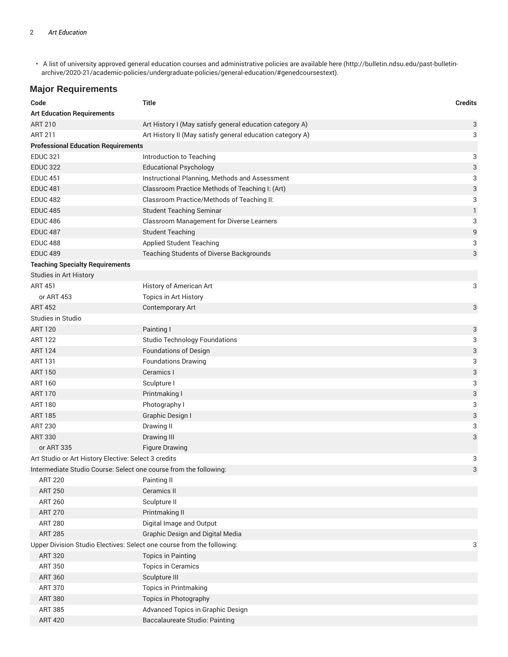• A list of university approved general education courses and administrative policies are available here (http://bulletin.ndsu.edu/past-bulletinarchive/2020-21/academic-policies/undergraduate-policies/general-education/#genedcoursestext).

#### **Major Requirements**

| Code                                                                   | <b>Title</b>                                              | <b>Credits</b> |
|------------------------------------------------------------------------|-----------------------------------------------------------|----------------|
| <b>Art Education Requirements</b>                                      |                                                           |                |
| <b>ART 210</b>                                                         | Art History I (May satisfy general education category A)  | 3              |
| <b>ART 211</b>                                                         | Art History II (May satisfy general education category A) | 3              |
| <b>Professional Education Requirements</b>                             |                                                           |                |
| <b>EDUC 321</b>                                                        | Introduction to Teaching                                  | 3              |
| <b>EDUC 322</b>                                                        | <b>Educational Psychology</b>                             | 3              |
| <b>EDUC 451</b>                                                        | Instructional Planning, Methods and Assessment            | 3              |
| <b>EDUC 481</b>                                                        | Classroom Practice Methods of Teaching I: (Art)           | 3              |
| <b>EDUC 482</b>                                                        | Classroom Practice/Methods of Teaching II:                | 3              |
| <b>EDUC 485</b>                                                        | <b>Student Teaching Seminar</b>                           | 1              |
| <b>EDUC 486</b>                                                        | Classroom Management for Diverse Learners                 | 3              |
| <b>EDUC 487</b>                                                        | <b>Student Teaching</b>                                   | 9              |
| <b>EDUC 488</b>                                                        | <b>Applied Student Teaching</b>                           | 3              |
| <b>EDUC 489</b>                                                        | Teaching Students of Diverse Backgrounds                  | 3              |
| <b>Teaching Specialty Requirements</b>                                 |                                                           |                |
| Studies in Art History                                                 |                                                           |                |
| <b>ART 451</b>                                                         | History of American Art                                   | 3              |
| or ART 453                                                             | Topics in Art History                                     |                |
| <b>ART 452</b>                                                         | Contemporary Art                                          | 3              |
| Studies in Studio                                                      |                                                           |                |
| <b>ART 120</b>                                                         | Painting I                                                | 3              |
| <b>ART 122</b>                                                         | <b>Studio Technology Foundations</b>                      | 3              |
| <b>ART 124</b>                                                         | <b>Foundations of Design</b>                              | 3              |
| <b>ART 131</b>                                                         | <b>Foundations Drawing</b>                                | 3              |
| <b>ART 150</b>                                                         | Ceramics I                                                | 3              |
| <b>ART 160</b>                                                         | Sculpture I                                               | 3              |
| <b>ART 170</b>                                                         | Printmaking I                                             | 3              |
| <b>ART 180</b>                                                         | Photography I                                             | 3              |
| <b>ART 185</b>                                                         | Graphic Design I                                          | 3              |
| <b>ART 230</b>                                                         | Drawing II                                                | 3              |
| <b>ART 330</b>                                                         | Drawing III                                               | 3              |
| or ART 335                                                             | <b>Figure Drawing</b>                                     |                |
| Art Studio or Art History Elective: Select 3 credits                   |                                                           | 3              |
| Intermediate Studio Course: Select one course from the following:      |                                                           | 3              |
| <b>ART 220</b>                                                         | Painting II                                               |                |
| <b>ART 250</b>                                                         | Ceramics II                                               |                |
| <b>ART 260</b>                                                         | Sculpture II                                              |                |
| <b>ART 270</b>                                                         | Printmaking II                                            |                |
| <b>ART 280</b>                                                         | Digital Image and Output                                  |                |
| <b>ART 285</b>                                                         | <b>Graphic Design and Digital Media</b>                   |                |
| Upper Division Studio Electives: Select one course from the following: |                                                           | 3              |
| <b>ART 320</b>                                                         | <b>Topics in Painting</b>                                 |                |
| <b>ART 350</b>                                                         | <b>Topics in Ceramics</b>                                 |                |
| <b>ART 360</b>                                                         | Sculpture III                                             |                |
| <b>ART 370</b>                                                         | <b>Topics in Printmaking</b>                              |                |
| <b>ART 380</b>                                                         | Topics in Photography                                     |                |
| <b>ART 385</b>                                                         | Advanced Topics in Graphic Design                         |                |
| <b>ART 420</b>                                                         | Baccalaureate Studio: Painting                            |                |
|                                                                        |                                                           |                |